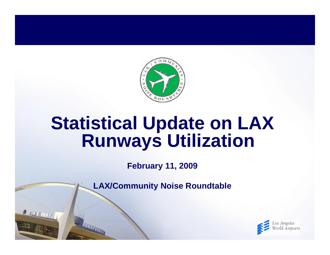

# **Statistical Update on LAX Runways Utilization**

**February 11, 2009**

**LAX/Community Noise Roundtable**

 $\frac{1}{2}$  (WHEETITE)

**THE TELEVISION** 

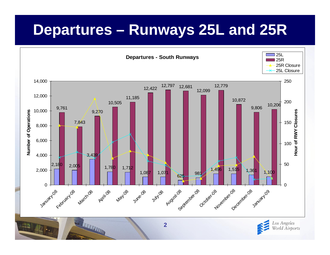### **Departures – Runways 25L and 25R**

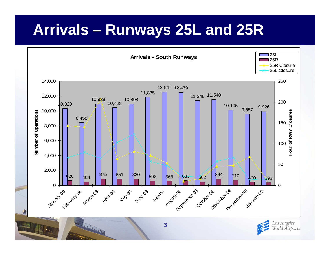# **Arrivals – Runways 25L and 25R**



World Airports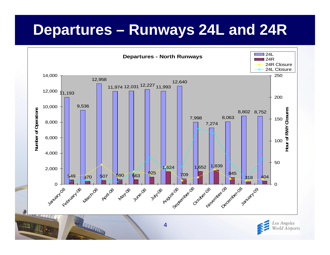### **Departures – Runways 24L and 24R**



**4**

Torld Airports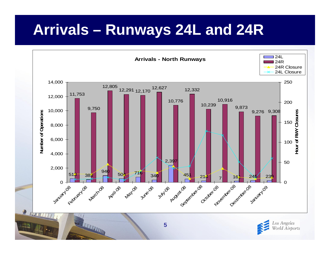# **Arrivals – Runways 24L and 24R**





THE REAL PROPERTY AND INCOME.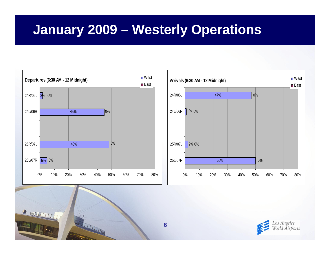### **January 2009 – Westerly Operations**





REAL PROPERTY AND

WELLIAM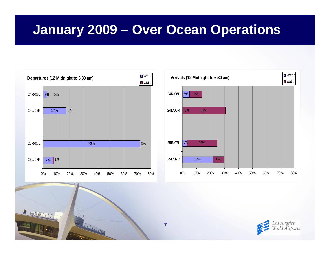### **January 2009 – Over Ocean Operations**





REAL PROPERTY AND

WELLIAM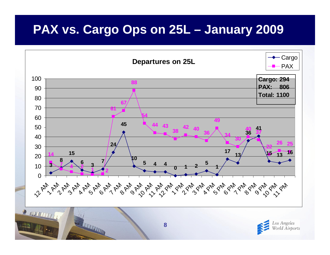#### **PAX vs. Cargo Ops on 25L – January 2009**

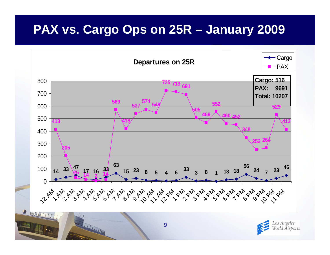#### **PAX vs. Cargo Ops on 25R – January 2009**